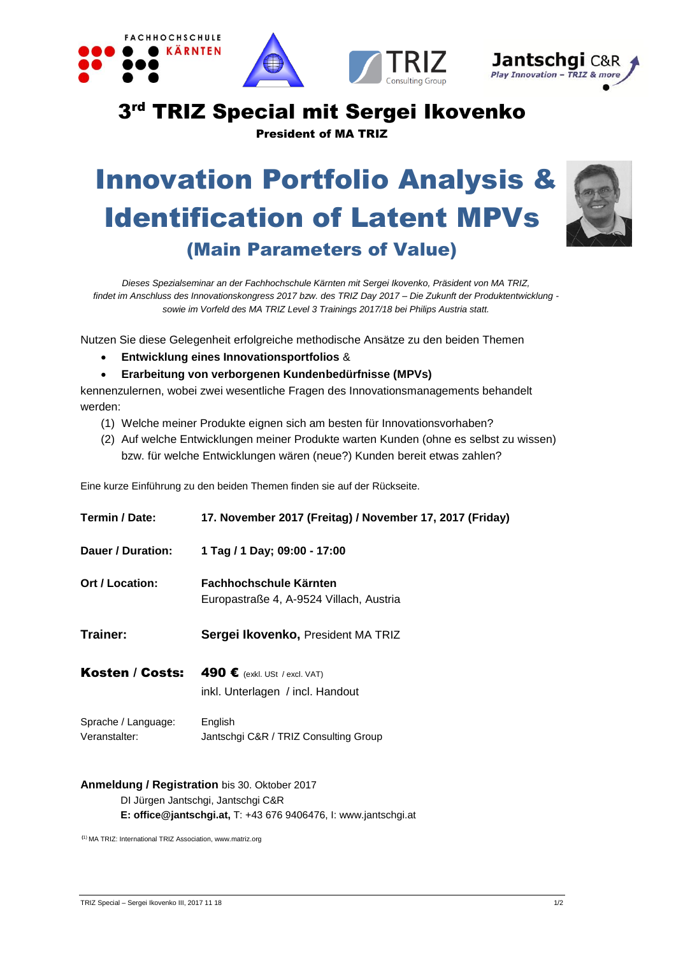

# 3<sup>rd</sup> TRIZ Special mit Sergei Ikovenko

President of MA TRIZ

# Innovation Portfolio Analysis & Identification of Latent MPVs (Main Parameters of Value)



*Dieses Spezialseminar an der Fachhochschule Kärnten mit Sergei Ikovenko, Präsident von MA TRIZ, findet im Anschluss des Innovationskongress 2017 bzw. des TRIZ Day 2017 – Die Zukunft der Produktentwicklung sowie im Vorfeld des MA TRIZ Level 3 Trainings 2017/18 bei Philips Austria statt.*

Nutzen Sie diese Gelegenheit erfolgreiche methodische Ansätze zu den beiden Themen

- **Entwicklung eines Innovationsportfolios** &
- **Erarbeitung von verborgenen Kundenbedürfnisse (MPVs)**

kennenzulernen, wobei zwei wesentliche Fragen des Innovationsmanagements behandelt werden:

- (1) Welche meiner Produkte eignen sich am besten für Innovationsvorhaben?
- (2) Auf welche Entwicklungen meiner Produkte warten Kunden (ohne es selbst zu wissen) bzw. für welche Entwicklungen wären (neue?) Kunden bereit etwas zahlen?

Eine kurze Einführung zu den beiden Themen finden sie auf der Rückseite.

| Termin / Date:                       | 17. November 2017 (Freitag) / November 17, 2017 (Friday)                   |
|--------------------------------------|----------------------------------------------------------------------------|
| Dauer / Duration:                    | 1 Tag / 1 Day; 09:00 - 17:00                                               |
| Ort / Location:                      | Fachhochschule Kärnten<br>Europastraße 4, A-9524 Villach, Austria          |
| Trainer:                             | Sergei Ikovenko, President MA TRIZ                                         |
| Kosten / Costs:                      | 490 $\epsilon$ (exkl. USt / excl. VAT)<br>inkl. Unterlagen / incl. Handout |
| Sprache / Language:<br>Veranstalter: | English<br>Jantschgi C&R / TRIZ Consulting Group                           |

#### **Anmeldung / Registration** bis 30. Oktober 2017

DI Jürgen Jantschgi, Jantschgi C&R **E: office@jantschgi.at,** T: +43 676 9406476, I: www.jantschgi.at

**(**1) MA TRIZ: International TRIZ Association, www.matriz.org